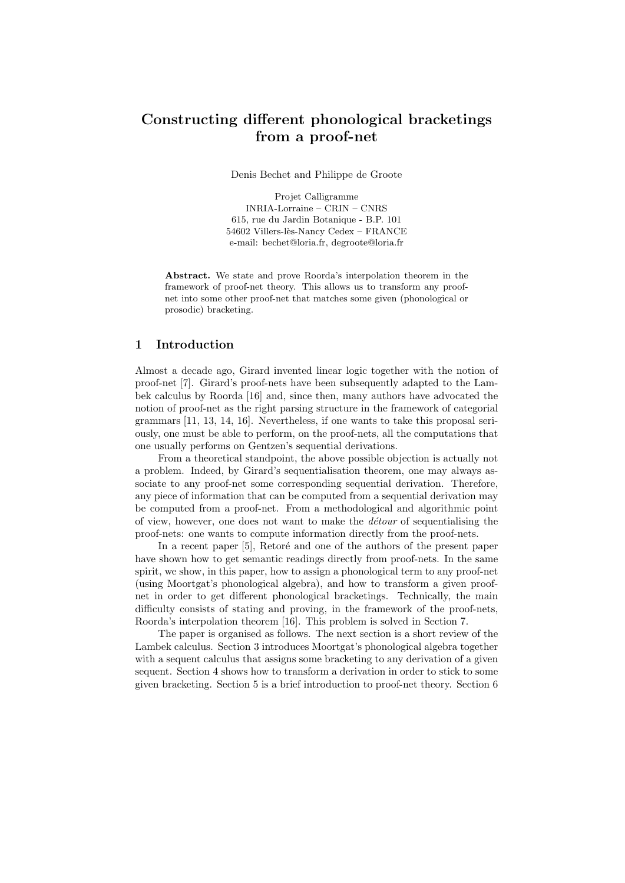# Constructing different phonological bracketings from a proof-net

Denis Bechet and Philippe de Groote

Projet Calligramme INRIA-Lorraine – CRIN – CNRS 615, rue du Jardin Botanique - B.P. 101 54602 Villers-lès-Nancy Cedex – FRANCE e-mail: bechet@loria.fr, degroote@loria.fr

Abstract. We state and prove Roorda's interpolation theorem in the framework of proof-net theory. This allows us to transform any proofnet into some other proof-net that matches some given (phonological or prosodic) bracketing.

### 1 Introduction

Almost a decade ago, Girard invented linear logic together with the notion of proof-net [7]. Girard's proof-nets have been subsequently adapted to the Lambek calculus by Roorda [16] and, since then, many authors have advocated the notion of proof-net as the right parsing structure in the framework of categorial grammars [11, 13, 14, 16]. Nevertheless, if one wants to take this proposal seriously, one must be able to perform, on the proof-nets, all the computations that one usually performs on Gentzen's sequential derivations.

From a theoretical standpoint, the above possible objection is actually not a problem. Indeed, by Girard's sequentialisation theorem, one may always associate to any proof-net some corresponding sequential derivation. Therefore, any piece of information that can be computed from a sequential derivation may be computed from a proof-net. From a methodological and algorithmic point of view, however, one does not want to make the  $d\acute{e}tour$  of sequentialising the proof-nets: one wants to compute information directly from the proof-nets.

In a recent paper [5], Retoré and one of the authors of the present paper have shown how to get semantic readings directly from proof-nets. In the same spirit, we show, in this paper, how to assign a phonological term to any proof-net (using Moortgat's phonological algebra), and how to transform a given proofnet in order to get different phonological bracketings. Technically, the main difficulty consists of stating and proving, in the framework of the proof-nets, Roorda's interpolation theorem [16]. This problem is solved in Section 7.

The paper is organised as follows. The next section is a short review of the Lambek calculus. Section 3 introduces Moortgat's phonological algebra together with a sequent calculus that assigns some bracketing to any derivation of a given sequent. Section 4 shows how to transform a derivation in order to stick to some given bracketing. Section 5 is a brief introduction to proof-net theory. Section 6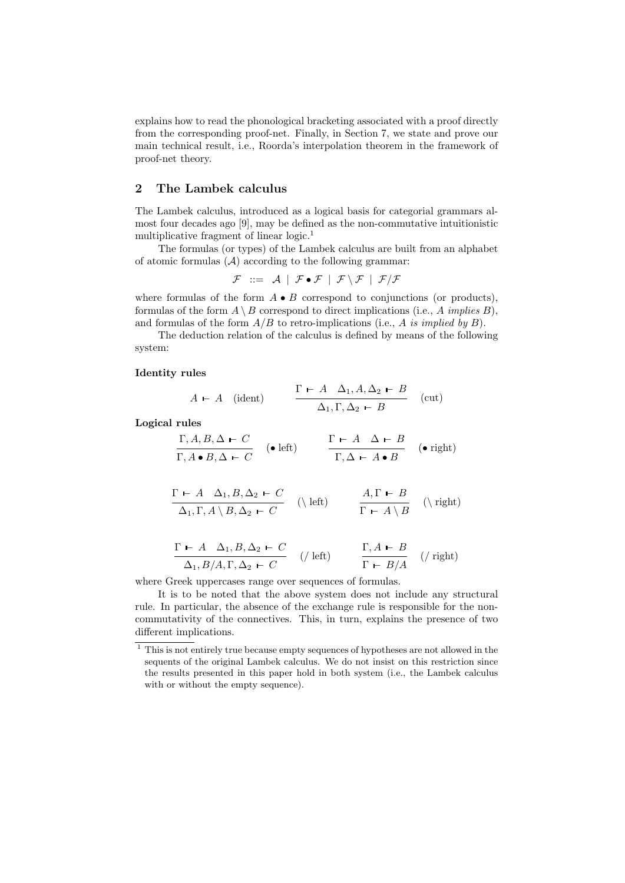explains how to read the phonological bracketing associated with a proof directly from the corresponding proof-net. Finally, in Section 7, we state and prove our main technical result, i.e., Roorda's interpolation theorem in the framework of proof-net theory.

# 2 The Lambek calculus

The Lambek calculus, introduced as a logical basis for categorial grammars almost four decades ago [9], may be defined as the non-commutative intuitionistic multiplicative fragment of linear logic.<sup>1</sup>

The formulas (or types) of the Lambek calculus are built from an alphabet of atomic formulas  $(A)$  according to the following grammar:

$$
\mathcal{F} \ ::= \ \mathcal{A} \ | \ \mathcal{F} \bullet \mathcal{F} \ | \ \mathcal{F} \setminus \mathcal{F} \ | \ \mathcal{F}/\mathcal{F}
$$

where formulas of the form  $A \bullet B$  correspond to conjunctions (or products), formulas of the form  $A \setminus B$  correspond to direct implications (i.e., A implies B), and formulas of the form  $A/B$  to retro-implications (i.e., A is implied by B).

The deduction relation of the calculus is defined by means of the following system:

### Identity rules

$$
A \vdash A \quad (\text{ident}) \qquad \frac{\Gamma \vdash A \quad \Delta_1, A, \Delta_2 \vdash B}{\Delta_1, \Gamma, \Delta_2 \vdash B} \quad (\text{cut})
$$

Logical rules

$$
\frac{\Gamma, A, B, \Delta \vdash C}{\Gamma, A \bullet B, \Delta \vdash C} \quad (\bullet \text{ left}) \qquad \frac{\Gamma \vdash A \Delta \vdash B}{\Gamma, \Delta \vdash A \bullet B} \quad (\bullet \text{ right})
$$

$$
\frac{\Gamma \vdash A \ \Delta_1, B, \Delta_2 \vdash C}{\Delta_1, \Gamma, A \setminus B, \Delta_2 \vdash C} \quad (\text{left}) \qquad \frac{A, \Gamma \vdash B}{\Gamma \vdash A \setminus B} \quad (\text{right})
$$

$$
\frac{\Gamma \vdash A \ \Delta_1, B, \Delta_2 \vdash C}{\Delta_1, B/A, \Gamma, \Delta_2 \vdash C} \quad \text{(/ left)} \qquad \frac{\Gamma, A \vdash B}{\Gamma \vdash B/A} \quad \text{(/ right)}
$$

where Greek uppercases range over sequences of formulas.

It is to be noted that the above system does not include any structural rule. In particular, the absence of the exchange rule is responsible for the noncommutativity of the connectives. This, in turn, explains the presence of two different implications.

 $\frac{1}{1}$  This is not entirely true because empty sequences of hypotheses are not allowed in the sequents of the original Lambek calculus. We do not insist on this restriction since the results presented in this paper hold in both system (i.e., the Lambek calculus with or without the empty sequence).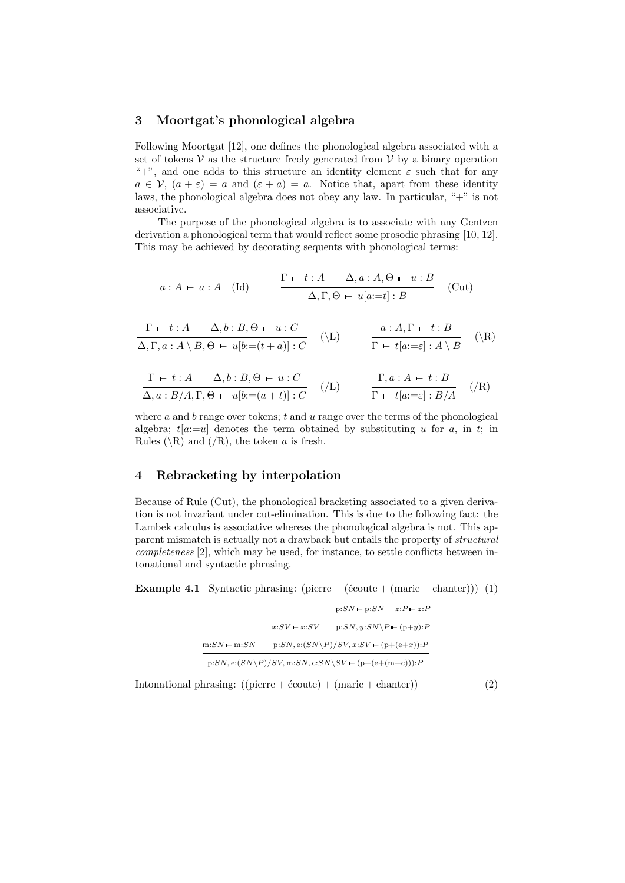## 3 Moortgat's phonological algebra

Following Moortgat [12], one defines the phonological algebra associated with a set of tokens  $V$  as the structure freely generated from  $V$  by a binary operation "+", and one adds to this structure an identity element  $\varepsilon$  such that for any  $a \in V$ ,  $(a + \varepsilon) = a$  and  $(\varepsilon + a) = a$ . Notice that, apart from these identity laws, the phonological algebra does not obey any law. In particular, "+" is not associative.

The purpose of the phonological algebra is to associate with any Gentzen derivation a phonological term that would reflect some prosodic phrasing [10, 12]. This may be achieved by decorating sequents with phonological terms:

$$
a: A \vdash a: A \quad (\text{Id}) \qquad \frac{\Gamma \vdash t: A \quad \Delta, a: A, \Theta \vdash u: B}{\Delta, \Gamma, \Theta \vdash u[a:=t]: B} \quad (\text{Cut})
$$

$$
\frac{\Gamma \vdash t:A \quad \Delta,b:B,\Theta \vdash u:C}{\Delta,\Gamma,a:A \setminus B,\Theta \vdash u[b:=(t+a)] :C} \quad (\setminus L) \qquad \frac{a:A,\Gamma \vdash t:B}{\Gamma \vdash t[a:=\varepsilon]:A \setminus B} \quad (\setminus R)
$$

$$
\frac{\Gamma \vdash t : A \qquad \Delta, b : B, \Theta \vdash u : C}{\Delta, a : B/A, \Gamma, \Theta \vdash u[b := (a + t)] : C} \qquad (\text{/L}) \qquad \frac{\Gamma, a : A \vdash t : B}{\Gamma \vdash t[a := \varepsilon] : B/A} \qquad (\text{/R})
$$

where a and b range over tokens; t and u range over the terms of the phonological algebra;  $t[a:=u]$  denotes the term obtained by substituting u for a, in t; in Rules ( $\setminus$ R) and ( $/R$ ), the token a is fresh.

### 4 Rebracketing by interpolation

Because of Rule (Cut), the phonological bracketing associated to a given derivation is not invariant under cut-elimination. This is due to the following fact: the Lambek calculus is associative whereas the phonological algebra is not. This apparent mismatch is actually not a drawback but entails the property of structural completeness [2], which may be used, for instance, to settle conflicts between intonational and syntactic phrasing.

**Example 4.1** Syntactic phrasing: (pierre + (écoute + (marie + chanter))) (1)

|                                   |                                            | $z: P - z: P$<br>$p:SN-p:SN$ |  |  |  |
|-----------------------------------|--------------------------------------------|------------------------------|--|--|--|
|                                   | $x:SV - x:SV$                              | $p:SN, y:SN\$ – $(p+q):P$    |  |  |  |
| $\text{m}:$ $SN - \text{m}:$ $SN$ | $p:SN, e:(SN\ P)/SV, x:SV - (p+(e+x))$ : P |                              |  |  |  |
|                                   |                                            |                              |  |  |  |

 $p:SN, e:(SN\P) / SV, m:SN, c:SN\B)$  (p+(e+(m+c))): P

Intonational phrasing:  $((\text{pierre} + \text{écoute}) + (\text{marie} + \text{chanter}))$  (2)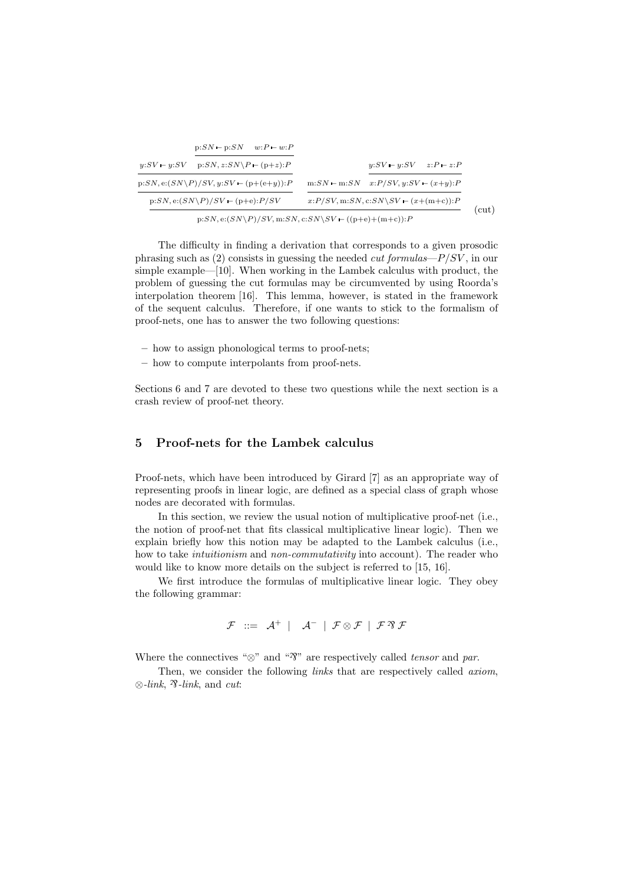|                                          | $p:SN-p:SN \t w:P-w:P$ |                                           |                                                      |                            |       |  |
|------------------------------------------|------------------------|-------------------------------------------|------------------------------------------------------|----------------------------|-------|--|
| $y:SV - y:SV$ p:SN, $z:SN\ P - (p+z):P$  |                        |                                           |                                                      | $y:SV - y:SV \t z:P - z:P$ |       |  |
| $p:SN, e:(SN\ P)/SV, y:SV - (p+(e+y)):P$ |                        |                                           | $m:SN = m:SN$ $x: P/SV, y:SV = (x+y):P$              |                            |       |  |
| $p:SN, e:(SN\ P)/SV - (p+e):P/SV$        |                        | $x: P/SV, m:SN, c:SN \ SV - (x+(m+c)): P$ |                                                      |                            | (cut) |  |
|                                          |                        |                                           | $p:SN, e:(SN\P)/SV, m:SN, c:SN\Y - ((p+e)+(m+c)): P$ |                            |       |  |

The difficulty in finding a derivation that corresponds to a given prosodic phrasing such as  $(2)$  consists in guessing the needed *cut formulas—P/SV*, in our simple example—[10]. When working in the Lambek calculus with product, the problem of guessing the cut formulas may be circumvented by using Roorda's interpolation theorem [16]. This lemma, however, is stated in the framework of the sequent calculus. Therefore, if one wants to stick to the formalism of proof-nets, one has to answer the two following questions:

- how to assign phonological terms to proof-nets;
- how to compute interpolants from proof-nets.

Sections 6 and 7 are devoted to these two questions while the next section is a crash review of proof-net theory.

# 5 Proof-nets for the Lambek calculus

Proof-nets, which have been introduced by Girard [7] as an appropriate way of representing proofs in linear logic, are defined as a special class of graph whose nodes are decorated with formulas.

In this section, we review the usual notion of multiplicative proof-net (i.e., the notion of proof-net that fits classical multiplicative linear logic). Then we explain briefly how this notion may be adapted to the Lambek calculus (i.e., how to take *intuitionism* and *non-commutativity* into account). The reader who would like to know more details on the subject is referred to [15, 16].

We first introduce the formulas of multiplicative linear logic. They obey the following grammar:

$$
\mathcal{F} \ ::= \ \mathcal{A}^+ \ | \quad \mathcal{A}^- \ | \ \mathcal{F} \otimes \mathcal{F} \ | \ \mathcal{F} \, \mathcal{V} \, \mathcal{F}
$$

Where the connectives " $\otimes$ " and " $\mathfrak{D}$ " are respectively called *tensor* and par.

Then, we consider the following *links* that are respectively called *axiom*,  $\otimes$ -link,  $\mathcal{R}$ -link, and cut: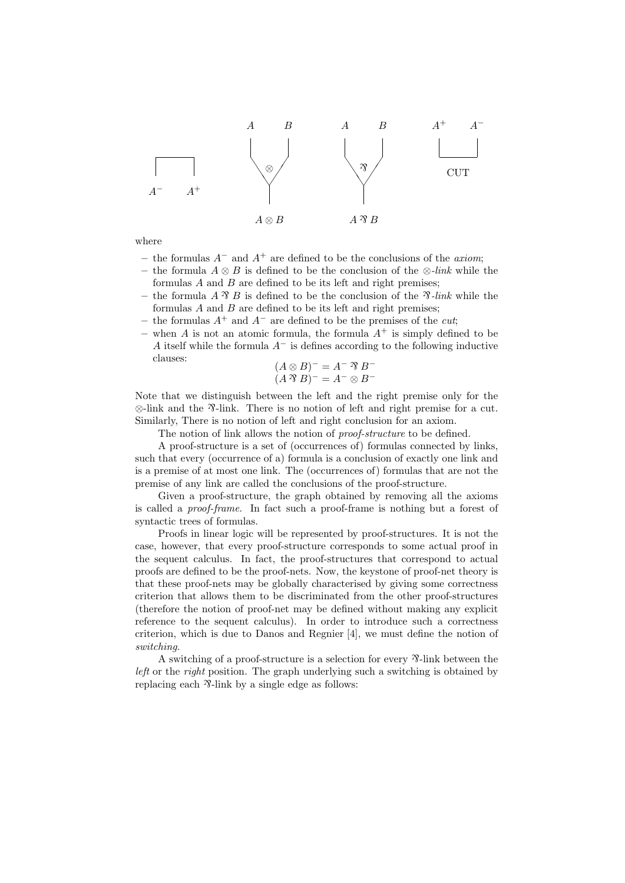

where

- the formulas  $A^-$  and  $A^+$  are defined to be the conclusions of the *axiom*;
- the formula A ⊗ B is defined to be the conclusion of the ⊗-link while the formulas  $A$  and  $B$  are defined to be its left and right premises;
- the formula  $A \mathcal{B} B$  is defined to be the conclusion of the  $\mathcal{B}-link$  while the formulas A and B are defined to be its left and right premises;
- the formulas  $A^+$  and  $A^-$  are defined to be the premises of the *cut*;
- when A is not an atomic formula, the formula  $A^+$  is simply defined to be A itself while the formula  $A^-$  is defines according to the following inductive clauses:

$$
(A \otimes B)^{-} = A^{-} \mathfrak{B} B^{-}
$$

$$
(A \mathfrak{B} B)^{-} = A^{-} \otimes B^{-}
$$

Note that we distinguish between the left and the right premise only for the  $\otimes$ -link and the  $\mathfrak{D}$ -link. There is no notion of left and right premise for a cut. Similarly, There is no notion of left and right conclusion for an axiom.

The notion of link allows the notion of *proof-structure* to be defined.

A proof-structure is a set of (occurrences of) formulas connected by links, such that every (occurrence of a) formula is a conclusion of exactly one link and is a premise of at most one link. The (occurrences of) formulas that are not the premise of any link are called the conclusions of the proof-structure.

Given a proof-structure, the graph obtained by removing all the axioms is called a proof-frame. In fact such a proof-frame is nothing but a forest of syntactic trees of formulas.

Proofs in linear logic will be represented by proof-structures. It is not the case, however, that every proof-structure corresponds to some actual proof in the sequent calculus. In fact, the proof-structures that correspond to actual proofs are defined to be the proof-nets. Now, the keystone of proof-net theory is that these proof-nets may be globally characterised by giving some correctness criterion that allows them to be discriminated from the other proof-structures (therefore the notion of proof-net may be defined without making any explicit reference to the sequent calculus). In order to introduce such a correctness criterion, which is due to Danos and Regnier [4], we must define the notion of switching.

A switching of a proof-structure is a selection for every  $\mathcal{R}$ -link between the left or the right position. The graph underlying such a switching is obtained by replacing each  $\mathcal{R}$ -link by a single edge as follows: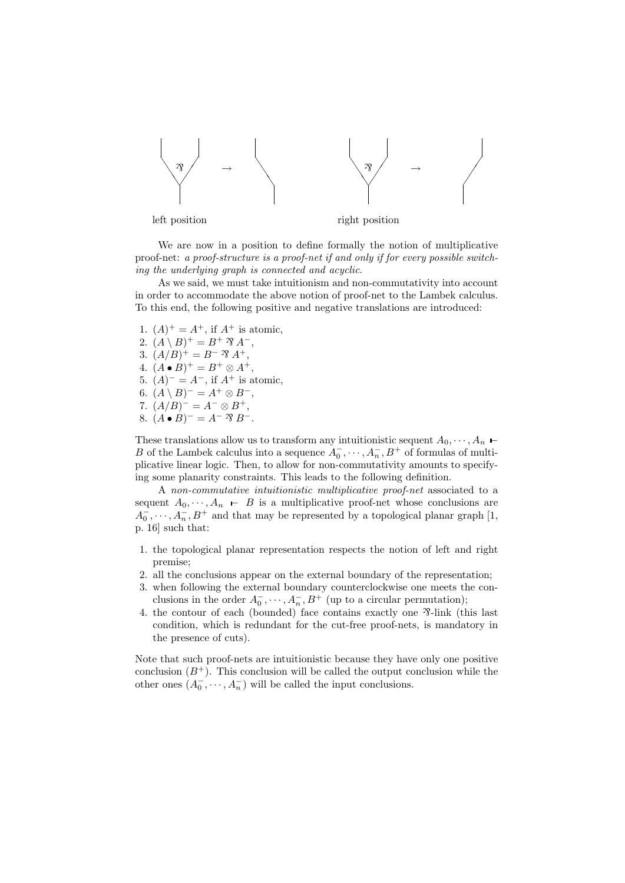

left position

right position

We are now in a position to define formally the notion of multiplicative proof-net: a proof-structure is a proof-net if and only if for every possible switching the underlying graph is connected and acyclic.

As we said, we must take intuitionism and non-commutativity into account in order to accommodate the above notion of proof-net to the Lambek calculus. To this end, the following positive and negative translations are introduced:

1.  $(A)^{+} = A^{+}$ , if  $A^{+}$  is atomic, 2.  $(A \setminus B)^{+} = B^{+} \mathcal{R} A^{-}$ , 3.  $(A/B)^{+} = B^{-} \mathfrak{B} A^{+},$ 4.  $(A \bullet B)^{+} = B^{+} \otimes A^{+},$ 5.  $(A)^{-} = A^{-}$ , if  $A^{+}$  is atomic, 6.  $(A \setminus B)^- = A^+ \otimes B^-$ , 7.  $(A/B)^{-} = A^{-} \otimes B^{+}$ , 8.  $(A \bullet B)^{-} = A^{-} \mathfrak{B} B^{-}$ .

These translations allow us to transform any intuitionistic sequent  $A_0, \dots, A_n$ B of the Lambek calculus into a sequence  $A_0^-$ ,  $\dots$ ,  $A_n^-$ ,  $B^+$  of formulas of multiplicative linear logic. Then, to allow for non-commutativity amounts to specifying some planarity constraints. This leads to the following definition.

A non-commutative intuitionistic multiplicative proof-net associated to a sequent  $A_0, \dots, A_n$  – B is a multiplicative proof-net whose conclusions are  $A_0^-, \dots, A_n^-, B^+$  and that may be represented by a topological planar graph [1, p. 16] such that:

- 1. the topological planar representation respects the notion of left and right premise;
- 2. all the conclusions appear on the external boundary of the representation;
- 3. when following the external boundary counterclockwise one meets the conclusions in the order  $A_0^-$ ,  $\dots$ ,  $A_n^-$ ,  $B^+$  (up to a circular permutation);
- 4. the contour of each (bounded) face contains exactly one  $\mathcal{P}-\text{link}$  (this last condition, which is redundant for the cut-free proof-nets, is mandatory in the presence of cuts).

Note that such proof-nets are intuitionistic because they have only one positive conclusion  $(B^+)$ . This conclusion will be called the output conclusion while the other ones  $(A_0^-, \dots, A_n^-)$  will be called the input conclusions.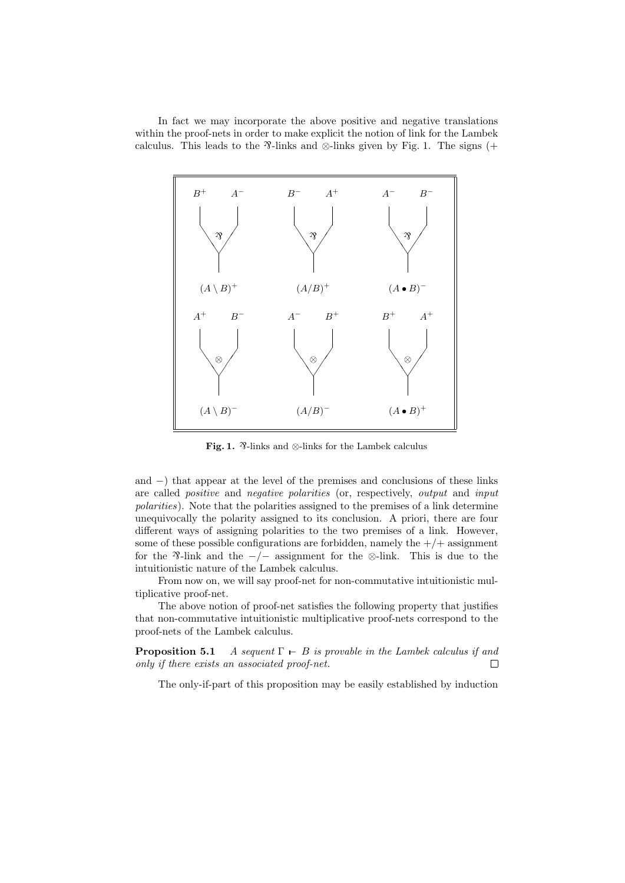In fact we may incorporate the above positive and negative translations within the proof-nets in order to make explicit the notion of link for the Lambek calculus. This leads to the  $\mathcal{R}-$ links and ⊗-links given by Fig. 1. The signs (+



Fig. 1.  $\sqrt[3]{\ }$ -links and ⊗-links for the Lambek calculus

and −) that appear at the level of the premises and conclusions of these links are called positive and negative polarities (or, respectively, output and input polarities). Note that the polarities assigned to the premises of a link determine unequivocally the polarity assigned to its conclusion. A priori, there are four different ways of assigning polarities to the two premises of a link. However, some of these possible configurations are forbidden, namely the  $+/+$  assignment for the  $\frac{1}{2}$ -link and the  $-\frac{1}{2}$  assignment for the ⊗-link. This is due to the intuitionistic nature of the Lambek calculus.

From now on, we will say proof-net for non-commutative intuitionistic multiplicative proof-net.

The above notion of proof-net satisfies the following property that justifies that non-commutative intuitionistic multiplicative proof-nets correspond to the proof-nets of the Lambek calculus.

**Proposition 5.1** A sequent  $\Gamma \vdash B$  is provable in the Lambek calculus if and only if there exists an associated proof-net.  $\Box$ 

The only-if-part of this proposition may be easily established by induction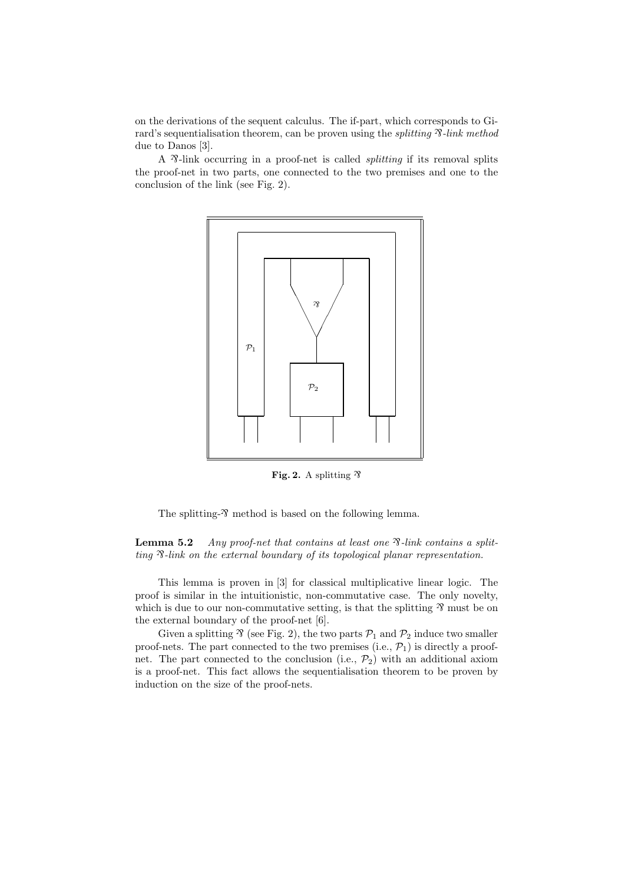on the derivations of the sequent calculus. The if-part, which corresponds to Girard's sequentialisation theorem, can be proven using the *splitting*  $\mathcal{R}\text{-}link$  method due to Danos [3].

A  $\mathcal{P}$ -link occurring in a proof-net is called *splitting* if its removal splits the proof-net in two parts, one connected to the two premises and one to the conclusion of the link (see Fig. 2).



Fig. 2. A splitting  $\mathcal{R}$ 

The splitting- $\mathcal{P}$  method is based on the following lemma.

**Lemma 5.2** Any proof-net that contains at least one  $\mathcal{R}$ -link contains a splitting  $\mathcal{R}-$ link on the external boundary of its topological planar representation.

This lemma is proven in [3] for classical multiplicative linear logic. The proof is similar in the intuitionistic, non-commutative case. The only novelty, which is due to our non-commutative setting, is that the splitting  $\mathcal{R}$  must be on the external boundary of the proof-net [6].

Given a splitting  $\mathcal{E}$  (see Fig. 2), the two parts  $\mathcal{P}_1$  and  $\mathcal{P}_2$  induce two smaller proof-nets. The part connected to the two premises  $(i.e., P<sub>1</sub>)$  is directly a proofnet. The part connected to the conclusion (i.e.,  $\mathcal{P}_2$ ) with an additional axiom is a proof-net. This fact allows the sequentialisation theorem to be proven by induction on the size of the proof-nets.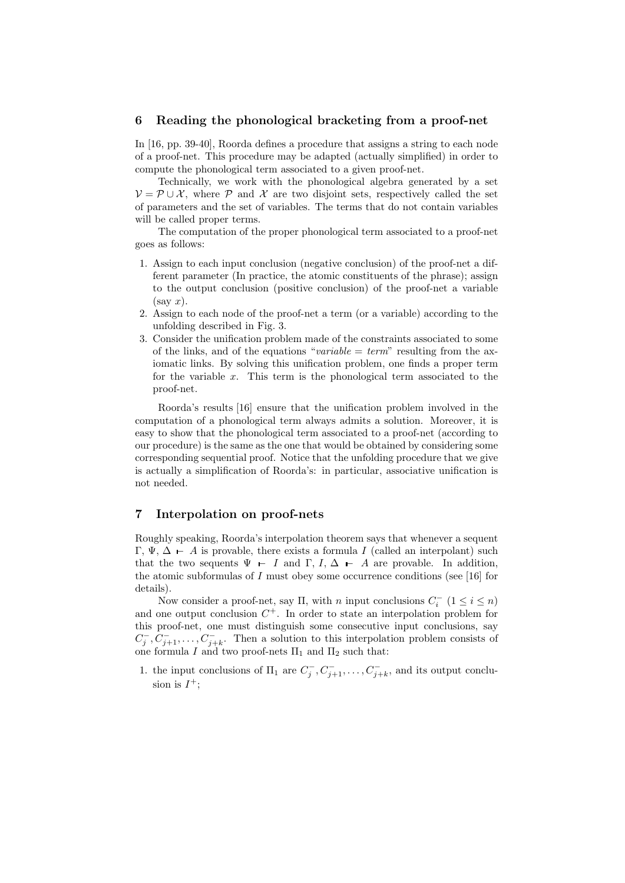#### 6 Reading the phonological bracketing from a proof-net

In [16, pp. 39-40], Roorda defines a procedure that assigns a string to each node of a proof-net. This procedure may be adapted (actually simplified) in order to compute the phonological term associated to a given proof-net.

Technically, we work with the phonological algebra generated by a set  $V = \mathcal{P} \cup \mathcal{X}$ , where  $\mathcal{P}$  and  $\mathcal{X}$  are two disjoint sets, respectively called the set of parameters and the set of variables. The terms that do not contain variables will be called proper terms.

The computation of the proper phonological term associated to a proof-net goes as follows:

- 1. Assign to each input conclusion (negative conclusion) of the proof-net a different parameter (In practice, the atomic constituents of the phrase); assign to the output conclusion (positive conclusion) of the proof-net a variable  $(say x).$
- 2. Assign to each node of the proof-net a term (or a variable) according to the unfolding described in Fig. 3.
- 3. Consider the unification problem made of the constraints associated to some of the links, and of the equations "variable  $= term$ " resulting from the axiomatic links. By solving this unification problem, one finds a proper term for the variable x. This term is the phonological term associated to the proof-net.

Roorda's results [16] ensure that the unification problem involved in the computation of a phonological term always admits a solution. Moreover, it is easy to show that the phonological term associated to a proof-net (according to our procedure) is the same as the one that would be obtained by considering some corresponding sequential proof. Notice that the unfolding procedure that we give is actually a simplification of Roorda's: in particular, associative unification is not needed.

### 7 Interpolation on proof-nets

Roughly speaking, Roorda's interpolation theorem says that whenever a sequent Γ, Ψ, Δ − A is provable, there exists a formula I (called an interpolant) such that the two sequents  $\Psi$  – I and  $\Gamma$ ,  $I$ ,  $\Delta$  – A are provable. In addition, the atomic subformulas of I must obey some occurrence conditions (see [16] for details).

Now consider a proof-net, say  $\Pi$ , with n input conclusions  $C_i^ (1 \le i \le n)$ and one output conclusion  $C^+$ . In order to state an interpolation problem for this proof-net, one must distinguish some consecutive input conclusions, say  $C_j^-$ ,  $C_{j+1}^-$ , ...,  $C_{j+k}^-$ . Then a solution to this interpolation problem consists of one formula I and two proof-nets  $\Pi_1$  and  $\Pi_2$  such that:

1. the input conclusions of  $\Pi_1$  are  $C_j^-, C_{j+1}^-, \ldots, C_{j+k}^-,$  and its output conclusion is  $I^+$ ;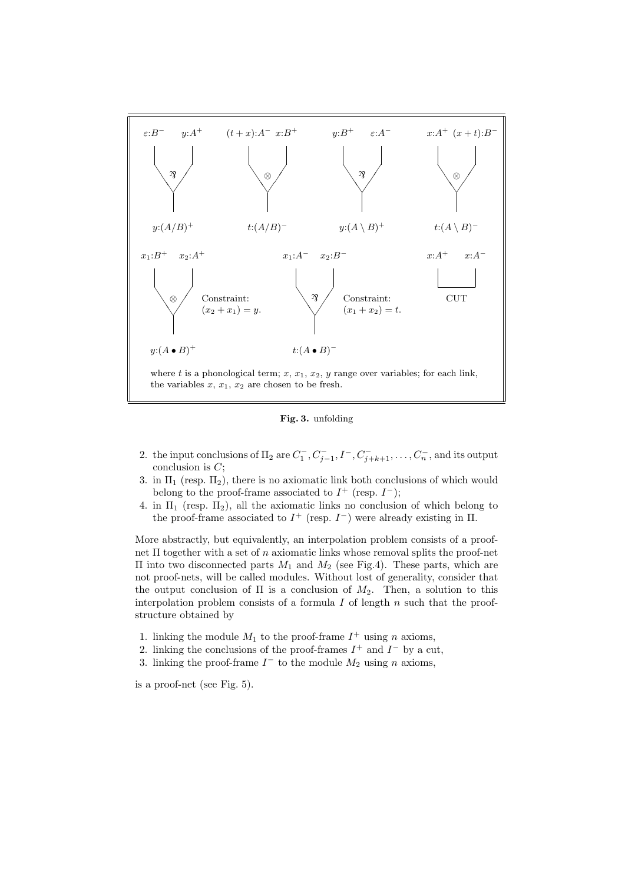

Fig. 3. unfolding

- 2. the input conclusions of  $\Pi_2$  are  $C_1^-, C_{j-1}^-, I^-, C_{j+k+1}^-, \ldots, C_n^-,$  and its output conclusion is  $C$ ;
- 3. in  $\Pi_1$  (resp.  $\Pi_2$ ), there is no axiomatic link both conclusions of which would belong to the proof-frame associated to  $I^+$  (resp.  $I^-$ );
- 4. in  $\Pi_1$  (resp.  $\Pi_2$ ), all the axiomatic links no conclusion of which belong to the proof-frame associated to  $I^+$  (resp.  $I^-$ ) were already existing in  $\Pi$ .

More abstractly, but equivalently, an interpolation problem consists of a proofnet  $\Pi$  together with a set of n axiomatic links whose removal splits the proof-net II into two disconnected parts  $M_1$  and  $M_2$  (see Fig.4). These parts, which are not proof-nets, will be called modules. Without lost of generality, consider that the output conclusion of  $\Pi$  is a conclusion of  $M_2$ . Then, a solution to this interpolation problem consists of a formula  $I$  of length  $n$  such that the proofstructure obtained by

- 1. linking the module  $M_1$  to the proof-frame  $I^+$  using n axioms,
- 2. linking the conclusions of the proof-frames  $I^+$  and  $I^-$  by a cut,
- 3. linking the proof-frame  $I^-$  to the module  $M_2$  using n axioms,

is a proof-net (see Fig. 5).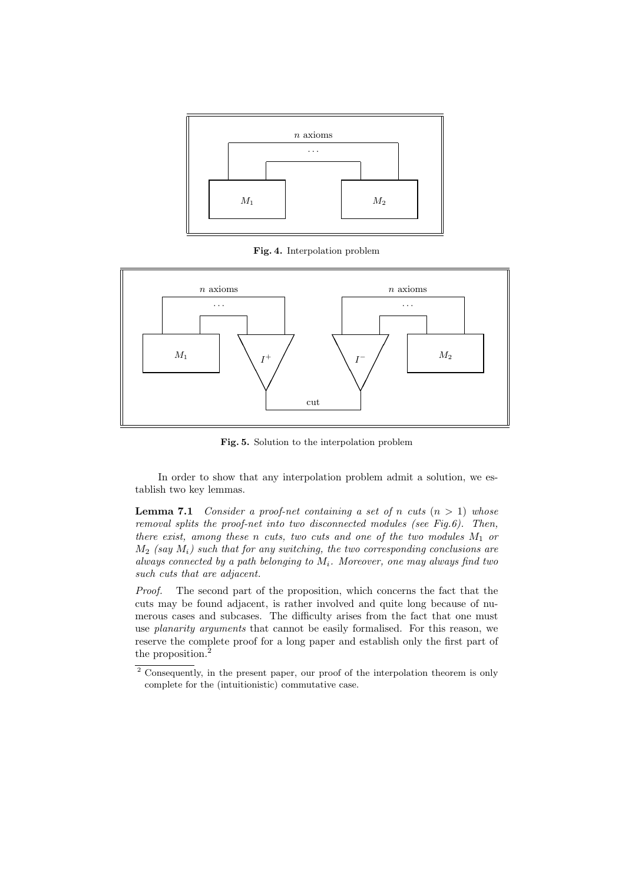

Fig. 4. Interpolation problem



Fig. 5. Solution to the interpolation problem

In order to show that any interpolation problem admit a solution, we establish two key lemmas.

**Lemma 7.1** Consider a proof-net containing a set of n cuts  $(n > 1)$  whose removal splits the proof-net into two disconnected modules (see Fig.6). Then, there exist, among these n cuts, two cuts and one of the two modules  $M_1$  or  $M_2$  (say  $M_i$ ) such that for any switching, the two corresponding conclusions are always connected by a path belonging to  $M_i$ . Moreover, one may always find two such cuts that are adjacent.

Proof. The second part of the proposition, which concerns the fact that the cuts may be found adjacent, is rather involved and quite long because of numerous cases and subcases. The difficulty arises from the fact that one must use planarity arguments that cannot be easily formalised. For this reason, we reserve the complete proof for a long paper and establish only the first part of the proposition.<sup>2</sup>

<sup>&</sup>lt;sup>2</sup> Consequently, in the present paper, our proof of the interpolation theorem is only complete for the (intuitionistic) commutative case.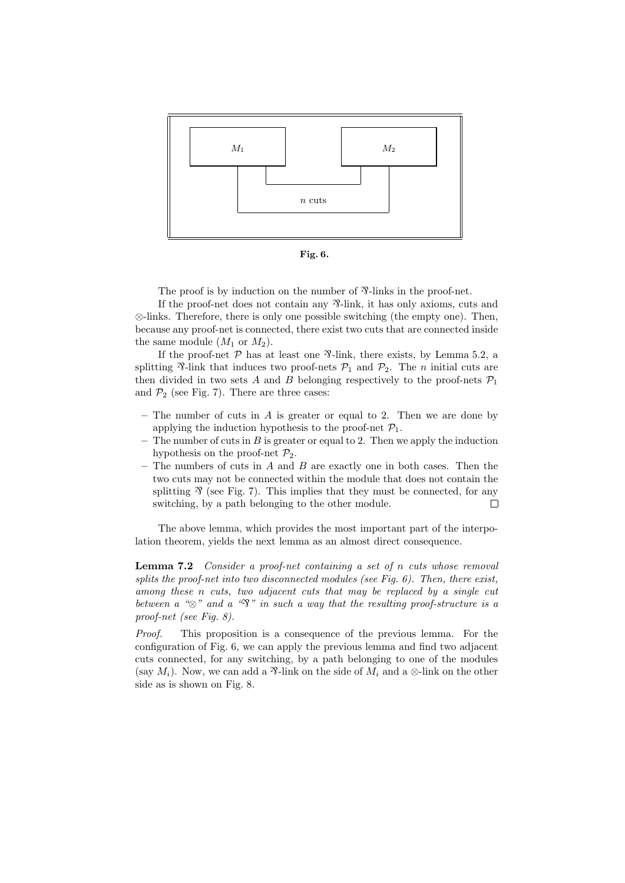



The proof is by induction on the number of  $\mathcal{R}-$ links in the proof-net.

If the proof-net does not contain any  $\mathcal{R}$ -link, it has only axioms, cuts and ⊗-links. Therefore, there is only one possible switching (the empty one). Then, because any proof-net is connected, there exist two cuts that are connected inside the same module  $(M_1 \text{ or } M_2)$ .

If the proof-net  $P$  has at least one  $\gamma$ -link, there exists, by Lemma 5.2, a splitting  $\mathcal{P}_1$ -link that induces two proof-nets  $\mathcal{P}_1$  and  $\mathcal{P}_2$ . The *n* initial cuts are then divided in two sets A and B belonging respectively to the proof-nets  $\mathcal{P}_1$ and  $\mathcal{P}_2$  (see Fig. 7). There are three cases:

- The number of cuts in  $A$  is greater or equal to 2. Then we are done by applying the induction hypothesis to the proof-net  $\mathcal{P}_1$ .
- The number of cuts in  $B$  is greater or equal to 2. Then we apply the induction hypothesis on the proof-net  $\mathcal{P}_2$ .
- The numbers of cuts in  $A$  and  $B$  are exactly one in both cases. Then the two cuts may not be connected within the module that does not contain the splitting  $\mathcal{F}$  (see Fig. 7). This implies that they must be connected, for any switching, by a path belonging to the other module.  $\Box$

The above lemma, which provides the most important part of the interpolation theorem, yields the next lemma as an almost direct consequence.

Lemma 7.2 Consider a proof-net containing a set of n cuts whose removal splits the proof-net into two disconnected modules (see Fig.  $6$ ). Then, there exist, among these n cuts, two adjacent cuts that may be replaced by a single cut between a " $\otimes$ " and a " $\otimes$ " in such a way that the resulting proof-structure is a proof-net (see Fig. 8).

Proof. This proposition is a consequence of the previous lemma. For the configuration of Fig. 6, we can apply the previous lemma and find two adjacent cuts connected, for any switching, by a path belonging to one of the modules (say  $M_i$ ). Now, we can add a  $\mathcal{R}$ -link on the side of  $M_i$  and a  $\otimes$ -link on the other side as is shown on Fig. 8.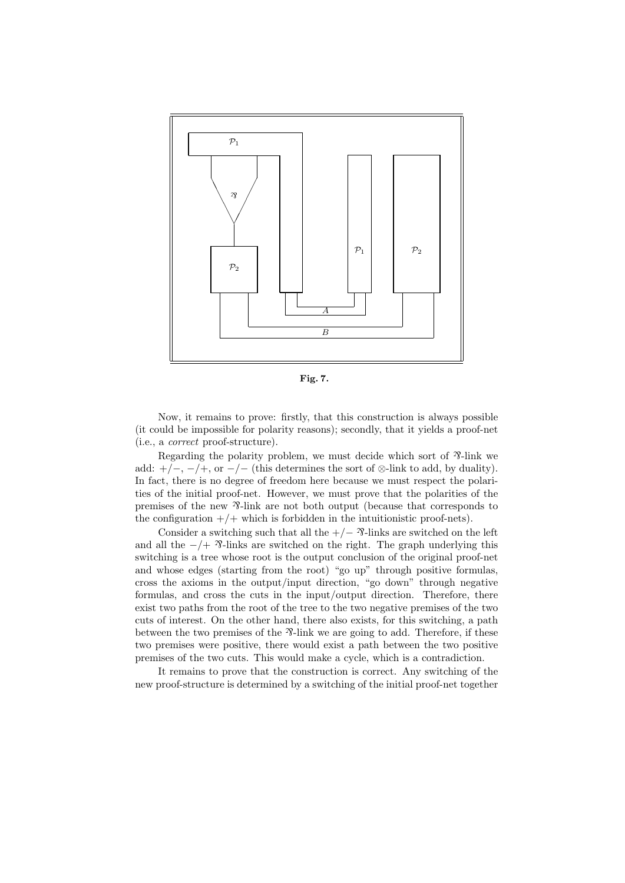



Now, it remains to prove: firstly, that this construction is always possible (it could be impossible for polarity reasons); secondly, that it yields a proof-net (i.e., a correct proof-structure).

Regarding the polarity problem, we must decide which sort of  $\mathcal{P}-\text{link we}$ add:  $+/-$ ,  $-/-$ , or  $-/-$  (this determines the sort of  $\otimes$ -link to add, by duality). In fact, there is no degree of freedom here because we must respect the polarities of the initial proof-net. However, we must prove that the polarities of the premises of the new  $\mathcal{R}$ -link are not both output (because that corresponds to the configuration  $+/+$  which is forbidden in the intuitionistic proof-nets).

Consider a switching such that all the  $+/ \frac{1}{2}$ -links are switched on the left and all the  $-/ \frac{1}{2}$ -links are switched on the right. The graph underlying this switching is a tree whose root is the output conclusion of the original proof-net and whose edges (starting from the root) "go up" through positive formulas, cross the axioms in the output/input direction, "go down" through negative formulas, and cross the cuts in the input/output direction. Therefore, there exist two paths from the root of the tree to the two negative premises of the two cuts of interest. On the other hand, there also exists, for this switching, a path between the two premises of the  $\mathcal{P}$ -link we are going to add. Therefore, if these two premises were positive, there would exist a path between the two positive premises of the two cuts. This would make a cycle, which is a contradiction.

It remains to prove that the construction is correct. Any switching of the new proof-structure is determined by a switching of the initial proof-net together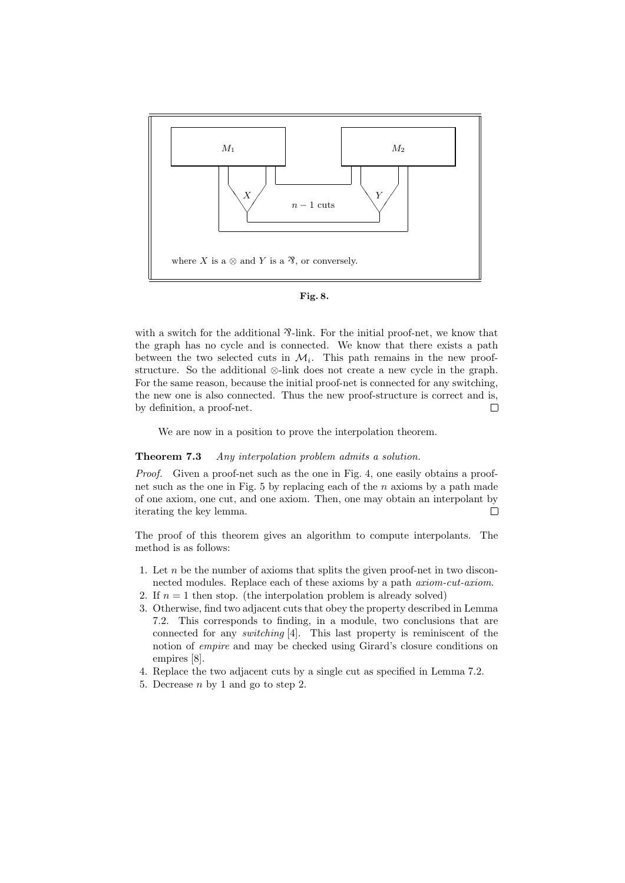



with a switch for the additional  $\mathcal{P}$ -link. For the initial proof-net, we know that the graph has no cycle and is connected. We know that there exists a path between the two selected cuts in  $\mathcal{M}_i$ . This path remains in the new proofstructure. So the additional ⊗-link does not create a new cycle in the graph. For the same reason, because the initial proof-net is connected for any switching, the new one is also connected. Thus the new proof-structure is correct and is, by definition, a proof-net.  $\Box$ 

We are now in a position to prove the interpolation theorem.

#### Theorem 7.3 Any interpolation problem admits a solution.

Proof. Given a proof-net such as the one in Fig. 4, one easily obtains a proofnet such as the one in Fig.  $5$  by replacing each of the  $n$  axioms by a path made of one axiom, one cut, and one axiom. Then, one may obtain an interpolant by iterating the key lemma.  $\Box$ 

The proof of this theorem gives an algorithm to compute interpolants. The method is as follows:

- 1. Let  $n$  be the number of axioms that splits the given proof-net in two disconnected modules. Replace each of these axioms by a path axiom-cut-axiom.
- 2. If  $n = 1$  then stop. (the interpolation problem is already solved)
- 3. Otherwise, find two adjacent cuts that obey the property described in Lemma 7.2. This corresponds to finding, in a module, two conclusions that are connected for any switching [4]. This last property is reminiscent of the notion of empire and may be checked using Girard's closure conditions on empires [8].
- 4. Replace the two adjacent cuts by a single cut as specified in Lemma 7.2.
- 5. Decrease n by 1 and go to step 2.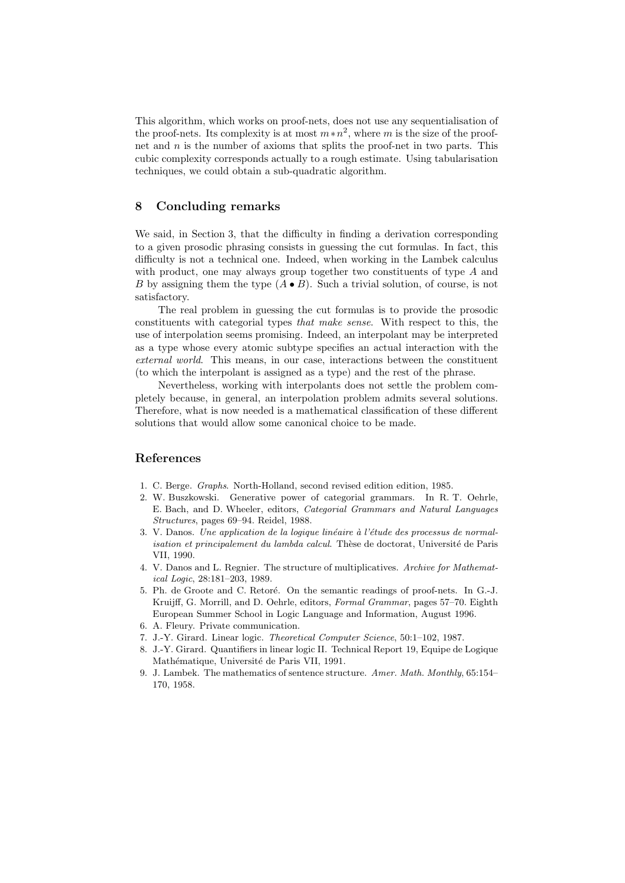This algorithm, which works on proof-nets, does not use any sequentialisation of the proof-nets. Its complexity is at most  $m*n^2$ , where m is the size of the proofnet and  $n$  is the number of axioms that splits the proof-net in two parts. This cubic complexity corresponds actually to a rough estimate. Using tabularisation techniques, we could obtain a sub-quadratic algorithm.

### 8 Concluding remarks

We said, in Section 3, that the difficulty in finding a derivation corresponding to a given prosodic phrasing consists in guessing the cut formulas. In fact, this difficulty is not a technical one. Indeed, when working in the Lambek calculus with product, one may always group together two constituents of type A and B by assigning them the type  $(A \bullet B)$ . Such a trivial solution, of course, is not satisfactory.

The real problem in guessing the cut formulas is to provide the prosodic constituents with categorial types that make sense. With respect to this, the use of interpolation seems promising. Indeed, an interpolant may be interpreted as a type whose every atomic subtype specifies an actual interaction with the external world. This means, in our case, interactions between the constituent (to which the interpolant is assigned as a type) and the rest of the phrase.

Nevertheless, working with interpolants does not settle the problem completely because, in general, an interpolation problem admits several solutions. Therefore, what is now needed is a mathematical classification of these different solutions that would allow some canonical choice to be made.

### References

- 1. C. Berge. Graphs. North-Holland, second revised edition edition, 1985.
- 2. W. Buszkowski. Generative power of categorial grammars. In R. T. Oehrle, E. Bach, and D. Wheeler, editors, Categorial Grammars and Natural Languages Structures, pages 69–94. Reidel, 1988.
- 3. V. Danos. Une application de la logique linéaire à l'étude des processus de normalisation et principalement du lambda calcul. Thèse de doctorat, Université de Paris VII, 1990.
- 4. V. Danos and L. Regnier. The structure of multiplicatives. Archive for Mathematical Logic, 28:181–203, 1989.
- 5. Ph. de Groote and C. Retoré. On the semantic readings of proof-nets. In G.-J. Kruijff, G. Morrill, and D. Oehrle, editors, Formal Grammar, pages 57–70. Eighth European Summer School in Logic Language and Information, August 1996.
- 6. A. Fleury. Private communication.
- 7. J.-Y. Girard. Linear logic. Theoretical Computer Science, 50:1–102, 1987.
- 8. J.-Y. Girard. Quantifiers in linear logic II. Technical Report 19, Equipe de Logique Mathématique, Université de Paris VII, 1991.
- 9. J. Lambek. The mathematics of sentence structure. Amer. Math. Monthly, 65:154– 170, 1958.